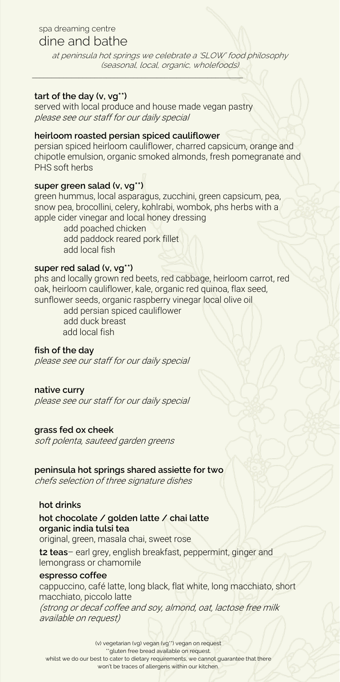## spa dreaming centre

# dine and bathe

at peninsula hot springs we celebrate <sup>a</sup>'SLOW' food philosophy (seasonal, local, organic, wholefoods) *\_\_\_\_\_\_\_\_\_\_\_\_\_\_\_\_\_\_\_\_\_\_\_\_\_\_\_\_\_\_\_\_\_\_\_\_\_\_\_\_\_\_\_\_\_\_\_\_\_\_\_\_\_\_*

## **tart of the day (v, vg\*\*)**

served with local produce and house made vegan pastry please see our staff for our daily special

#### **heirloom roasted persian spiced cauliflower**

persian spiced heirloom cauliflower, charred capsicum, orange and chipotle emulsion, organic smoked almonds, fresh pomegranate and PHS soft herbs

## **super green salad (v, vg\*\*)**

green hummus, local asparagus, zucchini, green capsicum, pea, snow pea, brocollini, celery, kohlrabi, wombok, phs herbs with a apple cider vinegar and local honey dressing

> add poached chicken add paddock reared pork fillet add local fish

#### **super red salad (v, vg\*\*)**

phs and locally grown red beets, red cabbage, heirloom carrot, red oak, heirloom cauliflower, kale, organic red quinoa, flax seed, sunflower seeds, organic raspberry vinegar local olive oil

> add persian spiced cauliflower add duck breast add local fish

## **fish of the day**

please see our staff for our daily special

#### **native curry**

please see our staff for our daily special

## **grass fed ox cheek**

soft polenta, sauteed garden greens

#### **peninsula hot springs shared assiette for two**

chefs selection of three signature dishes

## **hot drinks**

## **hot chocolate / golden latte / chai latte organic india tulsi tea**

original, green, masala chai, sweet rose

**t2 teas**– earl grey, english breakfast, peppermint, ginger and lemongrass or chamomile

#### **espresso coffee**

cappuccino, café latte, long black, flat white, long macchiato, short macchiato, piccolo latte

(strong or decaf coffee and soy, almond, oat, lactose free milk available on request)